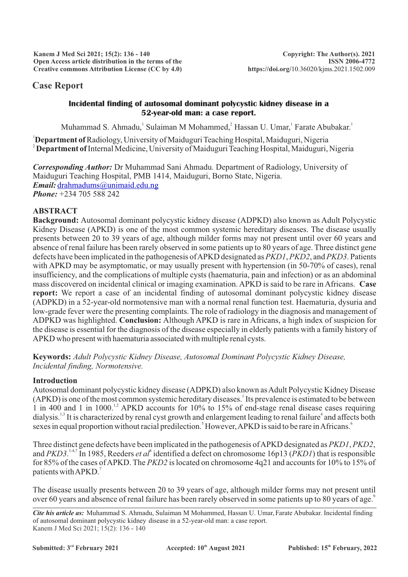# **Case Report**

### **Incidental finding of autosomal dominant polycystic kidney disease in a 52-year-old man: a case report.**

Muhammad S. Ahmadu, Sulaiman M Mohammed, Hassan U. Umar, Farate Abubakar,

<sup>1</sup>**Department of**Radiology, University of Maiduguri Teaching Hospital, Maiduguri, Nigeria <sup>2</sup> **Department of**Internal Medicine, University of Maiduguri Teaching Hospital, Maiduguri, Nigeria

*Corresponding Author:* Dr Muhammad Sani Ahmadu. Department of Radiology, University of Maiduguri Teaching Hospital, PMB 1414, Maiduguri, Borno State, Nigeria. *Email:* [drahmadums@unimaid.edu.ng](mailto:drahmadums@unimaid.edu.ng) *Phone:* +234 705 588 242

## **ABSTRACT**

**Background:** Autosomal dominant polycystic kidney disease (ADPKD) also known as Adult Polycystic Kidney Disease (APKD) is one of the most common systemic hereditary diseases. The disease usually presents between 20 to 39 years of age, although milder forms may not present until over 60 years and absence of renal failure has been rarely observed in some patients up to 80 years of age. Three distinct gene defects have been implicated in the pathogenesis of APKD designated as *PKD1*, *PKD2*, and *PKD3*. Patients with APKD may be asymptomatic, or may usually present with hypertension (in 50-70% of cases), renal insufficiency, and the complications of multiple cysts (haematuria, pain and infection) or as an abdominal mass discovered on incidental clinical or imaging examination. APKD is said to be rare in Africans. **Case report:** We report a case of an incidental finding of autosomal dominant polycystic kidney disease (ADPKD) in a 52-year-old normotensive man with a normal renal function test. Haematuria, dysuria and low-grade fever were the presenting complaints. The role of radiology in the diagnosis and management of ADPKD was highlighted. **Conclusion:** Although APKD is rare in Africans, a high index of suspicion for the disease is essential for the diagnosis of the disease especially in elderly patients with a family history of APKD who present with haematuria associated with multiple renal cysts.

**Keywords:** *Adult Polycystic Kidney Disease, Autosomal Dominant Polycystic Kidney Disease, Incidental finding, Normotensive.*

#### **Introduction**

Autosomal dominant polycystic kidney disease (ADPKD) also known as Adult Polycystic Kidney Disease (APKD) is one of the most common systemic hereditary diseases.<sup>1</sup> Its prevalence is estimated to be between 1 in 400 and 1 in 1000.<sup>1,2</sup> APKD accounts for 10% to 15% of end-stage renal disease cases requiring dialysis.<sup>1,3</sup> It is characterized by renal cyst growth and enlargement leading to renal failure<sup>4</sup> and affects both sexes in equal proportion without racial predilection.<sup>5</sup> However, APKD is said to be rare in Africans.<sup>6</sup>

Three distinct gene defects have been implicated in the pathogenesis of APKD designated as *PKD1*, *PKD2*, and *PKD3*.<sup>14,7</sup> In 1985, Reeders *et al*<sup>8</sup> identified a defect on chromosome 16p13 (*PKD1*) that is responsible for 85% of the cases of APKD. The *PKD2* is located on chromosome 4q21 and accounts for 10% to 15% of patients with APKD.<sup>7</sup>

The disease usually presents between 20 to 39 years of age, although milder forms may not present until over 60 years and absence of renal failure has been rarely observed in some patients up to 80 years of age.

*Cite his article as:* Muhammad S. Ahmadu, Sulaiman M Mohammed, Hassan U. Umar,Farate Abubakar. Incidental finding of autosomal dominant polycystic kidney disease in a 52-year-old man: a case report. Kanem J Med Sci 2021; 15(2): 136 - 140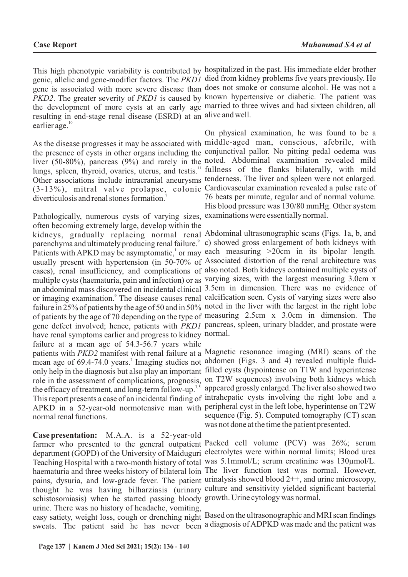resulting in end-stage renal disease (ESRD) at an alive and well. earlier age. $10$ 

As the disease progresses it may be associated with middle-aged man, conscious, afebrile, with liver (50-80%), pancreas (9%) and rarely in the noted. Abdominal examination revealed mild lungs, spleen, thyroid, ovaries, uterus, and testis.<sup>11</sup> fullness of the flanks bilaterally, with mild diverticulosis and renal stones formation.<sup>7</sup>

Pathologically, numerous cysts of varying sizes, examinations were essentially normal. often becoming extremely large, develop within the have renal symptoms earlier and progress to kidney normal. failure at a mean age of 54.3-56.7 years while mean age of 69.4-74.0 years.<sup>7</sup> Imaging studies not abdomen (Figs. 3 and 4) revealed multiple fluid-APKD in a 52-year-old normotensive man with peripheral cyst in the left lobe, hyperintense on T2W normal renal functions.

**Case presentation:** M.A.A. is a 52-year-old farmer who presented to the general outpatient Packed cell volume (PCV) was 26%; serum schistosomiasis) when he started passing bloody growth. Urine cytology was normal. urine. There was no history of headache, vomiting,

sweats. The patient said he has never been a diagnosis of ADPKD was made and the patient was

This high phenotypic variability is contributed by hospitalized in the past. His immediate elder brother genic, allelic and gene-modifier factors. The *PKD1*  died from kidney problems five years previously. He gene is associated with more severe disease than does not smoke or consume alcohol. He was not a *PKD2*. The greater severity of *PKD1* is caused by known hypertensive or diabetic. The patient was the development of more cysts at an early age married to three wives and had sixteen children, all

the presence of cysts in other organs including the conjunctival pallor. No pitting pedal oedema was Other associations include intracranial aneurysms tenderness. The liver and spleen were not enlarged. (3-13%), mitral valve prolapse, colonic Cardiovascular examination revealed a pulse rate of On physical examination, he was found to be a 76 beats per minute, regular and of normal volume. His blood pressure was 130/80 mmHg. Other system

kidneys, gradually replacing normal renal Abdominal ultrasonographic scans (Figs. 1a, b, and parenchyma and ultimately producing renal failure.<sup>9</sup> c) showed gross enlargement of both kidneys with Patients with APKD may be asymptomatic, or may each measuring >20cm in its bipolar length. usually present with hypertension (in 50-70% of Associated distortion of the renal architecture was cases), renal insufficiency, and complications of also noted. Both kidneys contained multiple cysts of multiple cysts (haematuria, pain and infection) or as varying sizes, with the largest measuring 3.0cm x an abdominal mass discovered on incidental clinical 3.5cm in dimension. There was no evidence of or imaging examination.<sup>9</sup> The disease causes renal calcification seen. Cysts of varying sizes were also failure in 25% of patients by the age of 50 and in 50% noted in the liver with the largest in the right lobe of patients by the age of 70 depending on the type of measuring 2.5cm x 3.0cm in dimension. The gene defect involved; hence, patients with *PKD1* pancreas, spleen, urinary bladder, and prostate were

patients with *PKD2* manifest with renal failure at a Magnetic resonance imaging (MRI) scans of the only help in the diagnosis but also play an important filled cysts (hypointense on T1W and hyperintense role in the assessment of complications, prognosis, on T2W sequences) involving both kidneys which the efficacy of treatment, and long-term follow-up.<sup>3,5</sup> appeared grossly enlarged. The liver also showed two This report presents a case of an incidental finding of intrahepatic cysts involving the right lobe and a sequence (Fig. 5). Computed tomography (CT) scan was not done at the time the patient presented.

department (GOPD) of the University of Maiduguri electrolytes were within normal limits; Blood urea Teaching Hospital with a two-month history of total was 5.1mmol/L; serum creatinine was 130µmol/L. haematuria and three weeks history of bilateral loin The liver function test was normal. However, pains, dysuria, and low-grade fever. The patient urinalysis showed blood 2++, and urine microscopy, thought he was having bilharziasis (urinary culture and sensitivity yielded significant bacterial

easy satiety, weight loss, cough or drenching night Based on the ultrasonographic and MRI scan findings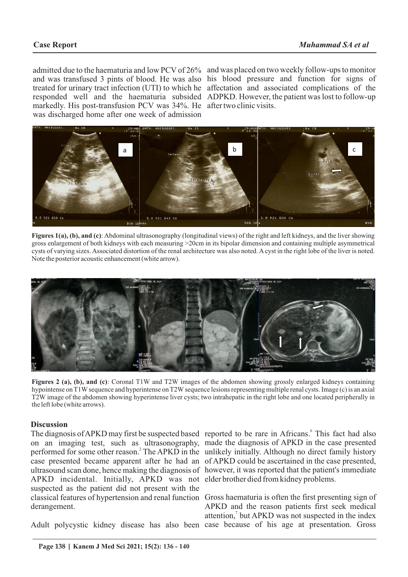markedly. His post-transfusion PCV was 34%. He after two clinic visits. was discharged home after one week of admission

admitted due to the haematuria and low PCV of 26% and was placed on two weekly follow-ups to monitor and was transfused 3 pints of blood. He was also his blood pressure and function for signs of treated for urinary tract infection (UTI) to which he affectation and associated complications of the responded well and the haematuria subsided ADPKD. However, the patient was lost to follow-up



**Figures 1(a), (b), and (c)**: Abdominal ultrasonography (longitudinal views) of the right and left kidneys, and the liver showing gross enlargement of both kidneys with each measuring >20cm in its bipolar dimension and containing multiple asymmetrical cysts of varying sizes. Associated distortion of the renal architecture was also noted. Acyst in the right lobe of the liver is noted. Note the posterior acoustic enhancement (white arrow).



**Figures 2 (a), (b), and (c)**: Coronal T1W and T2W images of the abdomen showing grossly enlarged kidneys containing hypointense on T1W sequence and hyperintense on T2W sequence lesions representing multiple renal cysts. Image (c) is an axial T2W image of the abdomen showing hyperintense liver cysts; two intrahepatic in the right lobe and one located peripherally in the left lobe (white arrows).

#### **Discussion**

APKD incidental. Initially, APKD was not elder brother died from kidney problems. suspected as the patient did not present with the derangement.

Adult polycystic kidney disease has also been case because of his age at presentation. Gross

The diagnosis of APKD may first be suspected based reported to be rare in Africans.<sup>6</sup> This fact had also on an imaging test, such as ultrasonography, made the diagnosis of APKD in the case presented performed for some other reason.<sup>2</sup> The APKD in the unlikely initially. Although no direct family history case presented became apparent after he had an of APKD could be ascertained in the case presented, ultrasound scan done, hence making the diagnosis of however, it was reported that the patient's immediate

classical features of hypertension and renal function Gross haematuria is often the first presenting sign of APKD and the reason patients first seek medical attention,<sup>7</sup> but APKD was not suspected in the index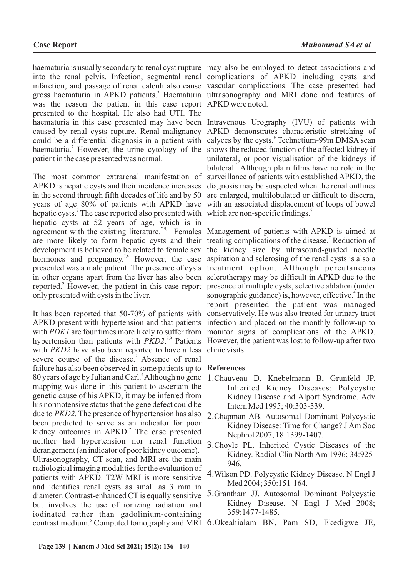haematuria is usually secondary to renal cyst rupture may also be employed to detect associations and into the renal pelvis. Infection, segmental renal complications of APKD including cysts and infarction, and passage of renal calculi also cause vascular complications. The case presented had gross haematuria in APKD patients.<sup>3</sup> Haematuria ultrasonography and MRI done and features of was the reason the patient in this case report APKD were noted. presented to the hospital. He also had UTI. The haematuria in this case presented may have been Intravenous Urography (IVU) of patients with caused by renal cysts rupture. Renal malignancy APKD demonstrates characteristic stretching of could be a differential diagnosis in a patient with calyces by the cysts. Technetium-99m DMSA scan haematuria.<sup>7</sup> However, the urine cytology of the shows the reduced function of the affected kidney if patient in the case presented was normal.

The most common extrarenal manifestation of APKD is hepatic cysts and their incidence increases in the second through fifth decades of life and by 50 years of age 80% of patients with APKD have hepatic cysts.<sup>7</sup> The case reported also presented with hepatic cysts at 52 years of age, which is in agreement with the existing literature.<sup> $7-9,11$ </sup> Females are more likely to form hepatic cysts and their development is believed to be related to female sex hormones and pregnancy.<sup>7,8</sup> However, the case presented was a male patient. The presence of cysts in other organs apart from the liver has also been reported.<sup>9</sup> However, the patient in this case report only presented with cysts in the liver.

It has been reported that 50-70% of patients with APKD present with hypertension and that patients with *PDK1* are four times more likely to suffer from hypertension than patients with *PKD2*.<sup>7,9</sup> Patients with *PKD2* have also been reported to have a less clinic visits. severe course of the disease.<sup>2</sup> Absence of renal failure has also been observed in some patients up to **References** 80 years of age by Julian and Carl.<sup>9</sup> Although no gene mapping was done in this patient to ascertain the genetic cause of his APKD, it may be inferred from his normotensive status that the gene defect could be due to *PKD2*. The presence of hypertension has also been predicted to serve as an indicator for poor kidney outcomes in APKD.<sup>2</sup> The case presented neither had hypertension nor renal function derangement (an indicator of poor kidney outcome). Ultrasonography, CT scan, and MRI are the main radiological imaging modalities for the evaluation of patients with APKD. T2W MRI is more sensitive and identifies renal cysts as small as 3 mm in diameter. Contrast-enhanced CT is equally sensitive but involves the use of ionizing radiation and iodinated rather than gadolinium-containing contrast medium.<sup>5</sup> Computed tomography and MRI 6.Okeahialam BN, Pam SD, Ekedigwe JE,

unilateral, or poor visualisation of the kidneys if bilateral.<sup>1</sup> Although plain films have no role in the surveillance of patients with established APKD, the diagnosis may be suspected when the renal outlines are enlarged, multilobulated or difficult to discern, with an associated displacement of loops of bowel which are non-specific findings. $<sup>7</sup>$ </sup>

Management of patients with APKD is aimed at treating complications of the disease.<sup>7</sup> Reduction of the kidney size by ultrasound-guided needle aspiration and sclerosing of the renal cysts is also a treatment option. Although percutaneous sclerotherapy may be difficult in APKD due to the presence of multiple cysts, selective ablation (under sonographic guidance) is, however, effective.<sup>4</sup> In the report presented the patient was managed conservatively. He was also treated for urinary tract infection and placed on the monthly follow-up to monitor signs of complications of the APKD. However, the patient was lost to follow-up after two

- 1.Chauveau D, Knebelmann B, Grunfeld JP. Inherited Kidney Diseases: Polycystic Kidney Disease and Alport Syndrome. Adv Intern Med 1995; 40:303-339.
- 2.Chapman AB. Autosomal Dominant Polycystic Kidney Disease: Time for Change? J Am Soc Nephrol 2007; 18:1399-1407.
- 3.Choyle PL. Inherited Cystic Diseases of the Kidney. Radiol Clin North Am 1996; 34:925- 946.
- 4.Wilson PD. Polycystic Kidney Disease. N Engl J Med 2004; 350:151-164.
- 5.Grantham JJ. Autosomal Dominant Polycystic Kidney Disease. N Engl J Med 2008; 359:1477-1485.
-